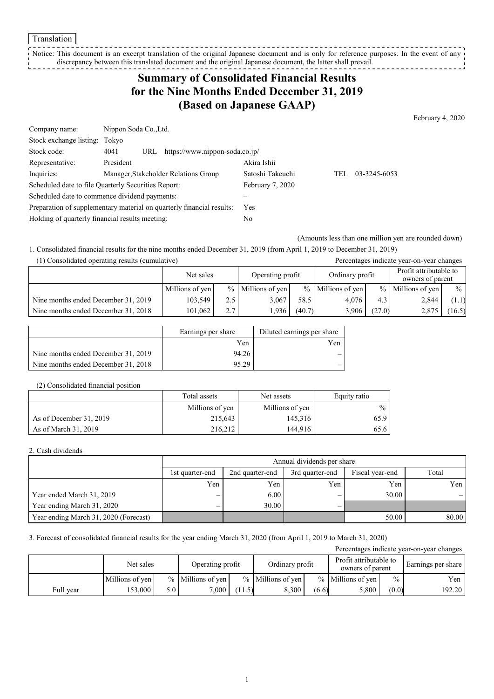Translation

Notice: This document is an excerpt translation of the original Japanese document and is only for reference purposes. In the event of any discrepancy between this translated document and the original Japanese document, the latter shall prevail. -----------------

## **Summary of Consolidated Financial Results for the Nine Months Ended December 31, 2019 (Based on Japanese GAAP)**

February 4, 2020

| Company name:                                                         | Nippon Soda Co., Ltd.                         |                  |     |              |  |  |
|-----------------------------------------------------------------------|-----------------------------------------------|------------------|-----|--------------|--|--|
| Stock exchange listing: Tokyo                                         |                                               |                  |     |              |  |  |
| Stock code:                                                           | https://www.nippon-soda.co.jp/<br>4041<br>URL |                  |     |              |  |  |
| Representative:                                                       | President                                     | Akira Ishii      |     |              |  |  |
| Inquiries:                                                            | Manager, Stakeholder Relations Group          | Satoshi Takeuchi | TEL | 03-3245-6053 |  |  |
| Scheduled date to file Quarterly Securities Report:                   |                                               | February 7, 2020 |     |              |  |  |
| Scheduled date to commence dividend payments:                         |                                               |                  |     |              |  |  |
| Preparation of supplementary material on quarterly financial results: |                                               | Yes              |     |              |  |  |
| Holding of quarterly financial results meeting:                       |                                               | No               |     |              |  |  |

(Amounts less than one million yen are rounded down)

1. Consolidated financial results for the nine months ended December 31, 2019 (from April 1, 2019 to December 31, 2019)

| (1) Consolidated operating results (cumulative) |                 |     |                     |                                     |                   |        | Percentages indicate year-on-year changes  |               |
|-------------------------------------------------|-----------------|-----|---------------------|-------------------------------------|-------------------|--------|--------------------------------------------|---------------|
|                                                 | Net sales       |     |                     | Ordinary profit<br>Operating profit |                   |        | Profit attributable to<br>owners of parent |               |
|                                                 | Millions of yen |     | $%$ Millions of yen |                                     | % Millions of yen |        | $%$ Millions of yen                        | $\frac{0}{0}$ |
| Nine months ended December 31, 2019             | 103,549         | 2.5 | 3.067               | 58.5                                | 4.076             | 4.3    | 2.844                                      | (1.1)         |
| Nine months ended December 31, 2018             | 101.062         | 2.7 | 1.936               | (40.7)                              | 3,906             | (27.0) | 2.875                                      | (16.5)        |

|                                     | Earnings per share | Diluted earnings per share |
|-------------------------------------|--------------------|----------------------------|
|                                     | Yen                | Yen                        |
| Nine months ended December 31, 2019 | 94.26              |                            |
| Nine months ended December 31, 2018 | 95.29              |                            |

#### (2) Consolidated financial position

|                         | Total assets    | Net assets      | Equity ratio  |
|-------------------------|-----------------|-----------------|---------------|
|                         | Millions of yen | Millions of yen | $\frac{0}{0}$ |
| As of December 31, 2019 | 215.643         | 145,316         | 65.9          |
| As of March 31, 2019    | 216,212         | 144.916         | 65.6          |

### 2. Cash dividends

|                                       | Annual dividends per share |                 |                 |                 |       |  |  |  |
|---------------------------------------|----------------------------|-----------------|-----------------|-----------------|-------|--|--|--|
|                                       | 1st quarter-end            | 2nd quarter-end | 3rd quarter-end | Fiscal year-end | Total |  |  |  |
|                                       | Yen                        | Yen             | Yen             | Yen             | Yen I |  |  |  |
| Year ended March 31, 2019             | –                          | 6.00            | -               | 30.00           |       |  |  |  |
| Year ending March 31, 2020            | –                          | 30.00           |                 |                 |       |  |  |  |
| Year ending March 31, 2020 (Forecast) |                            |                 |                 | 50.00           | 80.00 |  |  |  |

### 3. Forecast of consolidated financial results for the year ending March 31, 2020 (from April 1, 2019 to March 31, 2020)

| Percentages indicate year-on-year changes |                 |     |                     |        |                     |       |                                            |               |                    |
|-------------------------------------------|-----------------|-----|---------------------|--------|---------------------|-------|--------------------------------------------|---------------|--------------------|
|                                           | Net sales       |     | Operating profit    |        | Ordinary profit     |       | Profit attributable to<br>owners of parent |               | Earnings per share |
|                                           | Millions of yen |     | $%$ Millions of ven |        | $%$ Millions of yen |       | $%$ Millions of yen                        | $\frac{0}{0}$ | Yen                |
| Full year                                 | 53,000          | 5.0 | 7,000               | (11.5) | 8.300               | (6.6) | 5,800                                      | (0.0)         | 192.20             |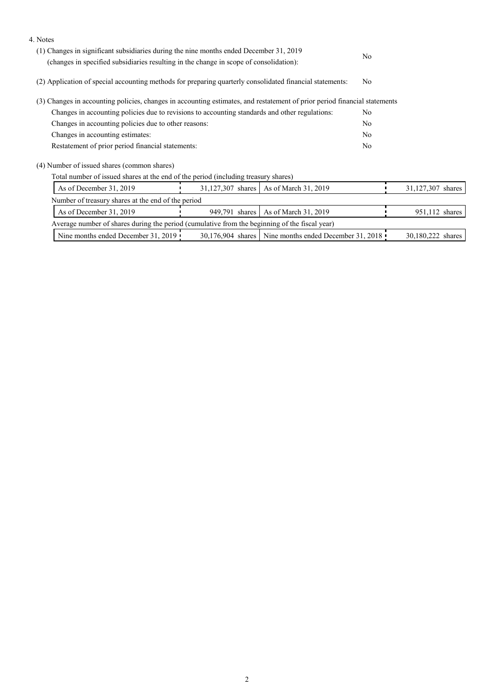| 4. Notes                                                                                                                                                                         |  |                                                       |                |                   |
|----------------------------------------------------------------------------------------------------------------------------------------------------------------------------------|--|-------------------------------------------------------|----------------|-------------------|
| (1) Changes in significant subsidiaries during the nine months ended December 31, 2019<br>(changes in specified subsidiaries resulting in the change in scope of consolidation): |  | N <sub>o</sub>                                        |                |                   |
|                                                                                                                                                                                  |  |                                                       |                |                   |
| (2) Application of special accounting methods for preparing quarterly consolidated financial statements:                                                                         |  |                                                       |                |                   |
| (3) Changes in accounting policies, changes in accounting estimates, and restatement of prior period financial statements                                                        |  |                                                       |                |                   |
| Changes in accounting policies due to revisions to accounting standards and other regulations:                                                                                   |  |                                                       |                |                   |
| Changes in accounting policies due to other reasons:                                                                                                                             |  |                                                       |                |                   |
| Changes in accounting estimates:                                                                                                                                                 |  |                                                       | N <sub>o</sub> |                   |
| Restatement of prior period financial statements:                                                                                                                                |  |                                                       |                |                   |
| (4) Number of issued shares (common shares)                                                                                                                                      |  |                                                       |                |                   |
| Total number of issued shares at the end of the period (including treasury shares)                                                                                               |  |                                                       |                |                   |
| As of December 31, 2019                                                                                                                                                          |  | 31,127,307 shares   As of March 31, 2019              |                | 31,127,307 shares |
| Number of treasury shares at the end of the period                                                                                                                               |  |                                                       |                |                   |
| As of December 31, 2019                                                                                                                                                          |  | 949,791 shares   As of March 31, 2019                 |                | 951,112 shares    |
| Average number of shares during the period (cumulative from the beginning of the fiscal year)                                                                                    |  |                                                       |                |                   |
| Nine months ended December 31, 2019                                                                                                                                              |  | 30,176,904 shares Nine months ended December 31, 2018 |                | 30,180,222 shares |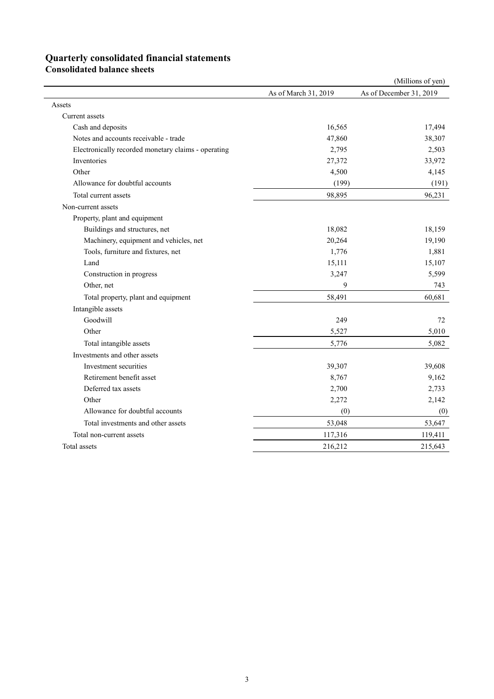# **Quarterly consolidated financial statements**

**Consolidated balance sheets** 

|                                                     |                      | (Millions of yen)       |
|-----------------------------------------------------|----------------------|-------------------------|
|                                                     | As of March 31, 2019 | As of December 31, 2019 |
| Assets                                              |                      |                         |
| Current assets                                      |                      |                         |
| Cash and deposits                                   | 16,565               | 17,494                  |
| Notes and accounts receivable - trade               | 47,860               | 38,307                  |
| Electronically recorded monetary claims - operating | 2,795                | 2,503                   |
| Inventories                                         | 27,372               | 33,972                  |
| Other                                               | 4,500                | 4,145                   |
| Allowance for doubtful accounts                     | (199)                | (191)                   |
| Total current assets                                | 98,895               | 96,231                  |
| Non-current assets                                  |                      |                         |
| Property, plant and equipment                       |                      |                         |
| Buildings and structures, net                       | 18,082               | 18,159                  |
| Machinery, equipment and vehicles, net              | 20,264               | 19,190                  |
| Tools, furniture and fixtures, net                  | 1,776                | 1,881                   |
| Land                                                | 15,111               | 15,107                  |
| Construction in progress                            | 3,247                | 5,599                   |
| Other, net                                          | 9                    | 743                     |
| Total property, plant and equipment                 | 58,491               | 60,681                  |
| Intangible assets                                   |                      |                         |
| Goodwill                                            | 249                  | 72                      |
| Other                                               | 5,527                | 5,010                   |
| Total intangible assets                             | 5,776                | 5,082                   |
| Investments and other assets                        |                      |                         |
| Investment securities                               | 39,307               | 39,608                  |
| Retirement benefit asset                            | 8,767                | 9,162                   |
| Deferred tax assets                                 | 2,700                | 2,733                   |
| Other                                               | 2,272                | 2,142                   |
| Allowance for doubtful accounts                     | (0)                  | (0)                     |
| Total investments and other assets                  | 53,048               | 53,647                  |
| Total non-current assets                            | 117,316              | 119,411                 |
| Total assets                                        | 216,212              | 215,643                 |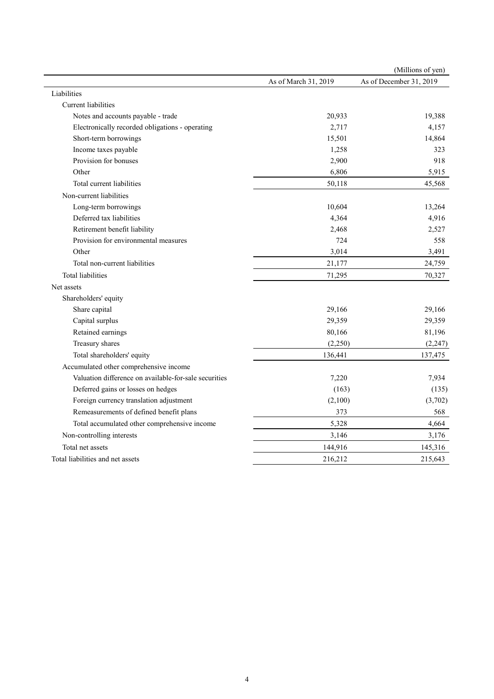|                                                       |                      | (Millions of yen)       |
|-------------------------------------------------------|----------------------|-------------------------|
|                                                       | As of March 31, 2019 | As of December 31, 2019 |
| Liabilities                                           |                      |                         |
| <b>Current</b> liabilities                            |                      |                         |
| Notes and accounts payable - trade                    | 20,933               | 19,388                  |
| Electronically recorded obligations - operating       | 2,717                | 4,157                   |
| Short-term borrowings                                 | 15,501               | 14,864                  |
| Income taxes payable                                  | 1,258                | 323                     |
| Provision for bonuses                                 | 2,900                | 918                     |
| Other                                                 | 6,806                | 5,915                   |
| Total current liabilities                             | 50,118               | 45,568                  |
| Non-current liabilities                               |                      |                         |
| Long-term borrowings                                  | 10,604               | 13,264                  |
| Deferred tax liabilities                              | 4,364                | 4,916                   |
| Retirement benefit liability                          | 2,468                | 2,527                   |
| Provision for environmental measures                  | 724                  | 558                     |
| Other                                                 | 3,014                | 3,491                   |
| Total non-current liabilities                         | 21,177               | 24,759                  |
| Total liabilities                                     | 71,295               | 70,327                  |
| Net assets                                            |                      |                         |
| Shareholders' equity                                  |                      |                         |
| Share capital                                         | 29,166               | 29,166                  |
| Capital surplus                                       | 29,359               | 29,359                  |
| Retained earnings                                     | 80,166               | 81,196                  |
| Treasury shares                                       | (2,250)              | (2, 247)                |
| Total shareholders' equity                            | 136,441              | 137,475                 |
| Accumulated other comprehensive income                |                      |                         |
| Valuation difference on available-for-sale securities | 7,220                | 7,934                   |
| Deferred gains or losses on hedges                    | (163)                | (135)                   |
| Foreign currency translation adjustment               | (2,100)              | (3,702)                 |
| Remeasurements of defined benefit plans               | 373                  | 568                     |
| Total accumulated other comprehensive income          | 5,328                | 4,664                   |
| Non-controlling interests                             | 3,146                | 3,176                   |
| Total net assets                                      | 144,916              | 145,316                 |
| Total liabilities and net assets                      | 216,212              | 215,643                 |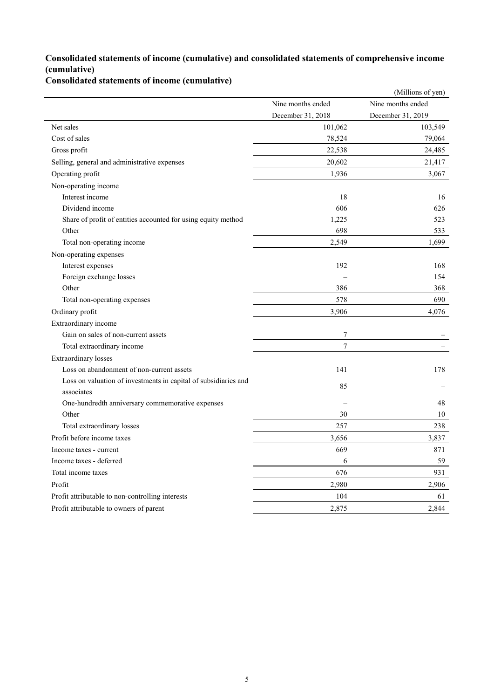## **Consolidated statements of income (cumulative) and consolidated statements of comprehensive income (cumulative)**

**Consolidated statements of income (cumulative)**

|                                                                               |                   | (Millions of yen) |
|-------------------------------------------------------------------------------|-------------------|-------------------|
|                                                                               | Nine months ended | Nine months ended |
|                                                                               | December 31, 2018 | December 31, 2019 |
| Net sales                                                                     | 101,062           | 103,549           |
| Cost of sales                                                                 | 78,524            | 79,064            |
| Gross profit                                                                  | 22,538            | 24,485            |
| Selling, general and administrative expenses                                  | 20,602            | 21,417            |
| Operating profit                                                              | 1,936             | 3,067             |
| Non-operating income                                                          |                   |                   |
| Interest income                                                               | 18                | 16                |
| Dividend income                                                               | 606               | 626               |
| Share of profit of entities accounted for using equity method                 | 1,225             | 523               |
| Other                                                                         | 698               | 533               |
| Total non-operating income                                                    | 2,549             | 1,699             |
| Non-operating expenses                                                        |                   |                   |
| Interest expenses                                                             | 192               | 168               |
| Foreign exchange losses                                                       |                   | 154               |
| Other                                                                         | 386               | 368               |
| Total non-operating expenses                                                  | 578               | 690               |
| Ordinary profit                                                               | 3,906             | 4,076             |
| Extraordinary income                                                          |                   |                   |
| Gain on sales of non-current assets                                           | 7                 |                   |
| Total extraordinary income                                                    | $\tau$            |                   |
| <b>Extraordinary losses</b>                                                   |                   |                   |
| Loss on abandonment of non-current assets                                     | 141               | 178               |
| Loss on valuation of investments in capital of subsidiaries and<br>associates | 85                |                   |
| One-hundredth anniversary commemorative expenses                              |                   | 48                |
| Other                                                                         | 30                | 10                |
| Total extraordinary losses                                                    | 257               | 238               |
| Profit before income taxes                                                    | 3,656             | 3,837             |
| Income taxes - current                                                        | 669               | 871               |
| Income taxes - deferred                                                       | 6                 | 59                |
| Total income taxes                                                            | 676               | 931               |
| Profit                                                                        | 2,980             | 2,906             |
| Profit attributable to non-controlling interests                              | 104               | 61                |
| Profit attributable to owners of parent                                       | 2,875             | 2,844             |